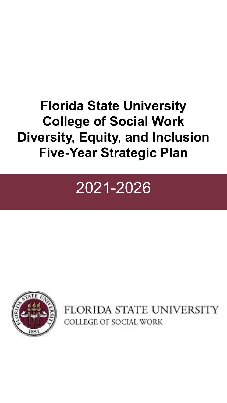## **Florida State University College of Social Work Diversity, Equity, and Inclusion Five-Year Strategic Plan**

# 2021-2026



FLORIDA STATE UNIVERSITY COLLEGE OF SOCIAL WORK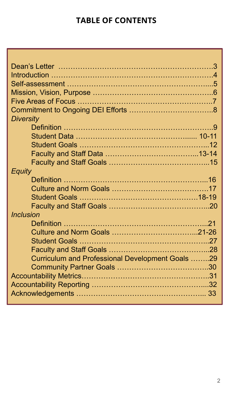### **TABLE OF CONTENTS**

| <b>Diversity</b>                                 |  |
|--------------------------------------------------|--|
|                                                  |  |
|                                                  |  |
|                                                  |  |
|                                                  |  |
|                                                  |  |
| <b>Equity</b>                                    |  |
|                                                  |  |
|                                                  |  |
|                                                  |  |
|                                                  |  |
| <b>Inclusion</b>                                 |  |
|                                                  |  |
|                                                  |  |
|                                                  |  |
|                                                  |  |
| Curriculum and Professional Development Goals 29 |  |
|                                                  |  |
|                                                  |  |
|                                                  |  |
|                                                  |  |
|                                                  |  |

y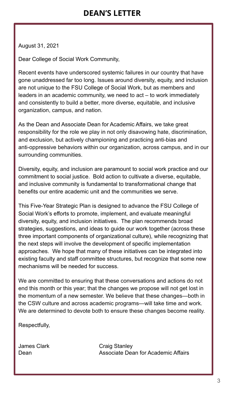August 31, 2021

Dear College of Social Work Community,

Recent events have underscored systemic failures in our country that have gone unaddressed far too long. Issues around diversity, equity, and inclusion are not unique to the FSU College of Social Work, but as members and leaders in an academic community, we need to act – to work immediately and consistently to build a better, more diverse, equitable, and inclusive organization, campus, and nation.

As the Dean and Associate Dean for Academic Affairs, we take great responsibility for the role we play in not only disavowing hate, discrimination, and exclusion, but actively championing and practicing anti-bias and anti-oppressive behaviors within our organization, across campus, and in our surrounding communities.

Diversity, equity, and inclusion are paramount to social work practice and our commitment to social justice. Bold action to cultivate a diverse, equitable, and inclusive community is fundamental to transformational change that benefits our entire academic unit and the communities we serve.

This Five-Year Strategic Plan is designed to advance the FSU College of Social Work's efforts to promote, implement, and evaluate meaningful diversity, equity, and inclusion initiatives. The plan recommends broad strategies, suggestions, and ideas to guide our work together (across these three important components of organizational culture), while recognizing that the next steps will involve the development of specific implementation approaches. We hope that many of these initiatives can be integrated into existing faculty and staff committee structures, but recognize that some new mechanisms will be needed for success.

We are committed to ensuring that these conversations and actions do not end this month or this year; that the changes we propose will not get lost in the momentum of a new semester. We believe that these changes—both in the CSW culture and across academic programs—will take time and work. We are determined to devote both to ensure these changes become reality.

Respectfully,

James Clark Craig Stanley Dean **Dean** Associate Dean for Academic Affairs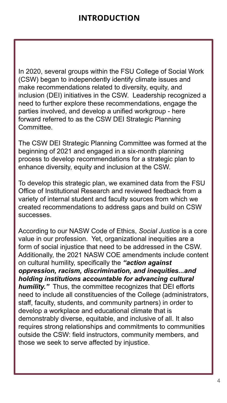In 2020, several groups within the FSU College of Social Work (CSW) began to independently identify climate issues and make recommendations related to diversity, equity, and inclusion (DEI) initiatives in the CSW. Leadership recognized a need to further explore these recommendations, engage the parties involved, and develop a unified workgroup - here forward referred to as the CSW DEI Strategic Planning Committee.

The CSW DEI Strategic Planning Committee was formed at the beginning of 2021 and engaged in a six-month planning process to develop recommendations for a strategic plan to enhance diversity, equity and inclusion at the CSW.

To develop this strategic plan, we examined data from the FSU Office of Institutional Research and reviewed feedback from a variety of internal student and faculty sources from which we created recommendations to address gaps and build on CSW successes.

According to our NASW Code of Ethics, *Social Justice* is a core value in our profession. Yet, organizational inequities are a form of social injustice that need to be addressed in the CSW. Additionally, the 2021 NASW COE amendments include content on cultural humility, specifically the *"action against oppression, racism, discrimination, and inequities...and holding institutions accountable for advancing cultural humility."* Thus, the committee recognizes that DEI efforts need to include all constituencies of the College (administrators, staff, faculty, students, and community partners) in order to develop a workplace and educational climate that is demonstrably diverse, equitable, and inclusive of all. It also requires strong relationships and commitments to communities outside the CSW: field instructors, community members, and those we seek to serve affected by injustice.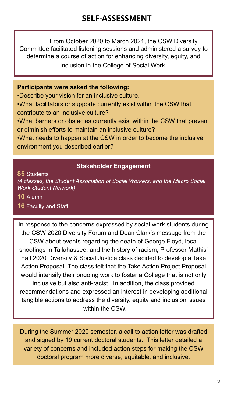From October 2020 to March 2021, the CSW Diversity Committee facilitated listening sessions and administered a survey to determine a course of action for enhancing diversity, equity, and inclusion in the College of Social Work.

#### **Participants were asked the following:**

•Describe your vision for an inclusive culture. •What facilitators or supports currently exist within the CSW that contribute to an inclusive culture?

•What barriers or obstacles currently exist within the CSW that prevent or diminish efforts to maintain an inclusive culture?

•What needs to happen at the CSW in order to become the inclusive environment you described earlier?

#### **Stakeholder Engagement**

**85** Students

*(4 classes, the Student Association of Social Workers, and the Macro Social Work Student Network)* 

**10** Alumni

#### **16** Faculty and Staff

Students Fall 2020 Diversity & Social Justice class decided to develop a Take In response to the concerns expressed by social work students during recommendations and expressed an interest in developing additional tangible actions to address the diversity, equity and inclusion issues the CSW 2020 Diversity Forum and Dean Clark's message from the CSW about events regarding the death of George Floyd, local shootings in Tallahassee, and the history of racism, Professor Mathis' Action Proposal. The class felt that the Take Action Project Proposal would intensify their ongoing work to foster a College that is not only inclusive but also anti-racist. In addition, the class provided within the CSW.

During the Summer 2020 semester, a call to action letter was drafted and signed by 19 current doctoral students. This letter detailed a variety of concerns and included action steps for making the CSW doctoral program more diverse, equitable, and inclusive.

ers

Facul

and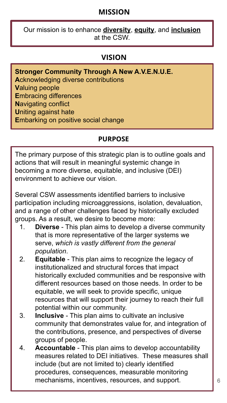### **MISSION**

Our mission is to enhance **diversity**, **equity**, and **inclusion** at the CSW.

#### **VISION**

- **Stronger Community Through A New A.V.E.N.U.E.**
- **A**cknowledging diverse contributions
- **V**aluing people
- **E**mbracing differences
- **N**avigating conflict
- **U**niting against hate
- **E**mbarking on positive social change

#### **PURPOSE**

The primary purpose of this strategic plan is to outline goals and actions that will result in meaningful systemic change in becoming a more diverse, equitable, and inclusive (DEI) environment to achieve our vision.

Several CSW assessments identified barriers to inclusive participation including microaggressions, isolation, devaluation, and a range of other challenges faced by historically excluded groups. As a result, we desire to become more:

- 1. **Diverse** This plan aims to develop a diverse community that is more representative of the larger systems we serve, *which is vastly different from the general population*.
- historically excluded communities and be responsive with different resources based on those needs. In order to be equitable, we will seek to provide specific, unique 2. **Equitable** - This plan aims to recognize the legacy of institutionalized and structural forces that impact resources that will support their journey to reach their full potential within our community.
- 3. **Inclusive**  This plan aims to cultivate an inclusive community that demonstrates value for, and integration of the contributions, presence, and perspectives of diverse groups of people.
- 4. **Accountable** This plan aims to develop accountability measures related to DEI initiatives. These measures shall include (but are not limited to) clearly identified procedures, consequences, measurable monitoring mechanisms, incentives, resources, and support.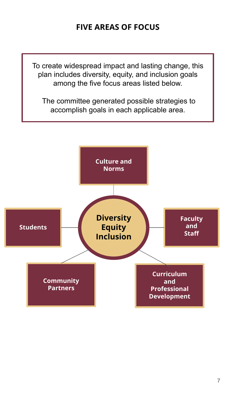### **FIVE AREAS OF FOCUS**

To create widespread impact and lasting change, this plan includes diversity, equity, and inclusion goals among the five focus areas listed below.

 The committee generated possible strategies to accomplish goals in each applicable area.

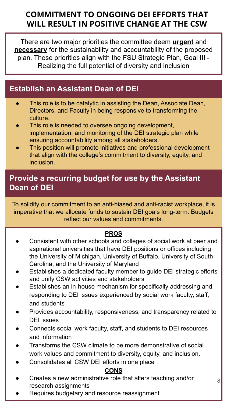### **COMMITMENT TO ONGOING DEI EFFORTS THAT WILL RESULT IN POSITIVE CHANGE AT THE CSW**

There are two major priorities the committee deem **urgent** and **necessary** for the sustainability and accountability of the proposed plan. These priorities align with the FSU Strategic Plan, Goal III - Realizing the full potential of diversity and inclusion

### **Establish an Assistant Dean of DEI**

- **Establish an Assistant Dean of DEI** culture. ● This role is to be catalytic in assisting the Dean, Associate Dean, Directors, and Faculty in being responsive to transforming the
- This role is needed to oversee ongoing development, implementation, and monitoring of the DEI strategic plan while ensuring accountability among all stakeholders.
- This position will promote initiatives and professional development that align with the college's commitment to diversity, equity, and inclusion.

### **Provide a recurring budget for use by the Assistant Dean of DEI**

imperative that we allocate funds to sustain DEI goals long-term. Budgets reflect our values and commitments. To solidify our commitment to an anti-biased and anti-racist workplace, it is

#### **PROS**

- Consistent with other schools and colleges of social work at peer and aspirational universities that have DEI positions or offices including the University of Michigan, University of Buffalo, University of South Carolina, and the University of Maryland
- Establishes a dedicated faculty member to guide DEI strategic efforts and unify CSW activities and stakeholders
- Establishes an in-house mechanism for specifically addressing and responding to DEI issues experienced by social work faculty, staff, and students
- Provides accountability, responsiveness, and transparency related to DEI issues
- Connects social work faculty, staff, and students to DEI resources and information
- Transforms the CSW climate to be more demonstrative of social work values and commitment to diversity, equity, and inclusion.
- Consolidates all CSW DEI efforts in one place

#### **CONS**

8

- Creates a new administrative role that alters teaching and/or research assignments
- Requires budgetary and resource reassignment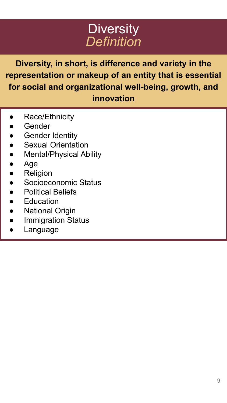## **Diversity** *Definition*

**Diversity, in short, is difference and variety in the representation or makeup of an entity that is essential for social and organizational well-being, growth, and innovation**

- Race/Ethnicity
- **Gender**
- **Gender Identity**
- **Sexual Orientation**
- **Mental/Physical Ability**
- Age
- Religion
- Socioeconomic Status
- **Political Beliefs**
- **Education**
- **National Origin**
- **Immigration Status**
- Language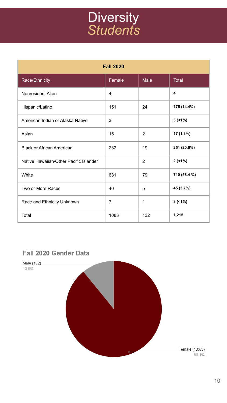## **Diversity** *Students*

| <b>Fall 2020</b>                       |        |              |              |
|----------------------------------------|--------|--------------|--------------|
| Race/Ethnicity                         | Female | Male         | Total        |
| Nonresident Alien                      | 4      |              | 4            |
| Hispanic/Latino                        | 151    | 24           | 175 (14.4%)  |
| American Indian or Alaska Native       | 3      |              | 3(1%)        |
| Asian                                  | 15     | 2            | 17 (1.3%)    |
| <b>Black or African American</b>       | 232    | 19           | 251 (20.6%)  |
| Native Hawaiian/Other Pacific Islander |        | 2            | 2(1%)        |
| White                                  | 631    | 79           | 710 (58.4 %) |
| Two or More Races                      | 40     | 5            | 45 (3.7%)    |
| Race and Ethnicity Unknown             | 7      | $\mathbf{1}$ | $8$ (<1%)    |
| Total                                  | 1083   | 132          | 1,215        |

#### **Fall 2020 Gender Data**

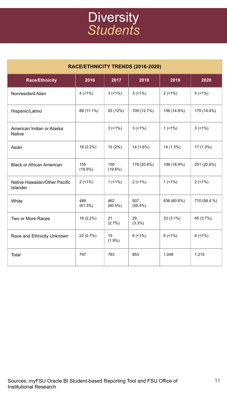## **Diversity** *Students*

| RACE/ETHNICITY TRENDS (2016-2020)          |                   |                   |                   |             |              |
|--------------------------------------------|-------------------|-------------------|-------------------|-------------|--------------|
| <b>Race/Ethnicity</b>                      | 2016              | 2017              | 2018              | 2019        | 2020         |
| Nonresident Alien                          | 4(1%)             | 3(1%)             | 3(1%)             | 2(1%)       | 4(1%)        |
| Hispanic/Latino                            | 89 (11.1%)        | 93 (12%)          | 109 (12.7%)       | 156 (14.8%) | 175 (14.4%)  |
| American Indian or Alaska<br><b>Native</b> |                   | $3(51\%)$         | $3(51\%)$         | $1(1\%)$    | 3(1%)        |
| Asian                                      | 18 (2.2%)         | 15 (2%)           | 14 (1.6%)         | 14 (1.3%)   | 17 (1.3%)    |
| <b>Black or African American</b>           | 155<br>$(19.5\%)$ | 150<br>$(19.6\%)$ | 178 (20.8%)       | 199 (18.9%) | 251 (20.6%)  |
| Native Hawaiian/Other Pacific<br>Islander  | 2(1%)             | $1(1\%)$          | 2(1%)             | $1(1\%)$    | 2(51%)       |
| White                                      | 489<br>(61.3%)    | 462<br>$(60.5\%)$ | 507<br>$(59.4\%)$ | 636 (60.6%) | 710 (58.4 %) |
| Two or More Races                          | 18 (2.2%)         | 21<br>$(2.7\%)$   | 29<br>$(3.3\%)$   | 33 (3.1%)   | 45 (3.7%)    |
| Race and Ethnicity Unknown                 | 22 (2.7%)         | 15<br>$(1.9\%)$   | 8(1%)             | 6(1%)       | 8(1%)        |
| Total                                      | 797               | 763               | 853               | 1,048       | 1,215        |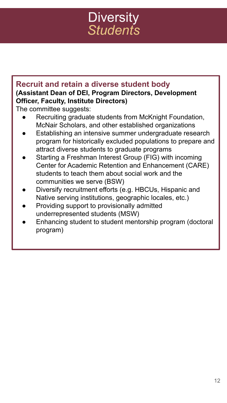## **Diversity** *Students*

### **Recruit and retain a diverse student body (Assistant Dean of DEI, Program Directors, Development Officer, Faculty, Institute Directors)**

The committee suggests:

- Recruiting graduate students from McKnight Foundation, McNair Scholars, and other established organizations
- Establishing an intensive summer undergraduate research program for historically excluded populations to prepare and attract diverse students to graduate programs
- Starting a Freshman Interest Group (FIG) with incoming Center for Academic Retention and Enhancement (CARE) students to teach them about social work and the communities we serve (BSW)
- Diversify recruitment efforts (e.g. HBCUs, Hispanic and Native serving institutions, geographic locales, etc.)
- Providing support to provisionally admitted underrepresented students (MSW)
- Enhancing student to student mentorship program (doctoral program)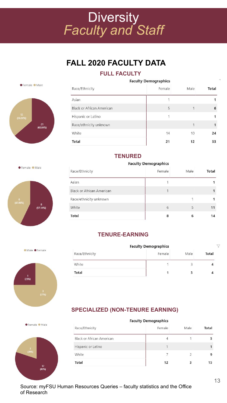## **Diversity** *Faculty and Staff*

### **FALL 2020 FACULTY DATA**

#### **FULL FACULTY**



| <b>Faculty Demographics</b>      |        |      |       |
|----------------------------------|--------|------|-------|
| Race/Ethnicity                   | Female | Male | Total |
| Asian                            |        |      |       |
| <b>Black or African American</b> | 5      |      | 6     |
| Hispanic or Latino               |        |      |       |
| Race/ethnicity unknown           |        |      |       |
| White                            | 14     | 10   | 24    |
| Total                            | 21     | 12   | 33    |

#### **TENURED**

**Faculty Demographics** Race/Ethnicity Female Male Total Asian  $\mathbf{1}$  $\overline{1}$ **Black or African American**  $\overline{1}$  $\mathbf{1}$ Race/ethnicity unknown  $\mathbf{1}$  $\mathbf{1}$ White  $6\overline{6}$ 5  $11$ Total 8 6  $14$ 

#### **TENURE-EARNING**

|                | <b>Faculty Demographics</b> |      |       |
|----------------|-----------------------------|------|-------|
| Race/Ethnicity | Female                      | Male | Total |
| White          |                             |      |       |
| Total          | 1                           |      |       |

#### **SPECIALIZED (NON-TENURE EARNING)**

|                           | <b>Faculty Demographics</b> |      |       |
|---------------------------|-----------------------------|------|-------|
| Race/Ethnicity            | Female                      | Male | Total |
| Black or African American |                             |      |       |
| Hispanic or Latino        |                             |      |       |
| White                     |                             |      | 9     |
| Total                     | 12                          |      | 15    |

Famala Male





Male Female

● Female ● Male

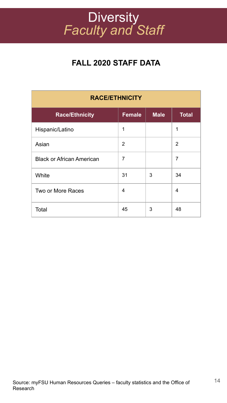## **Diversity** *Faculty and Staff*

### **FALL 2020 STAFF DATA**

| <b>RACE/ETHNICITY</b>            |               |             |                |
|----------------------------------|---------------|-------------|----------------|
| <b>Race/Ethnicity</b>            | <b>Female</b> | <b>Male</b> | <b>Total</b>   |
| Hispanic/Latino                  | 1             |             | 1              |
| Asian                            | 2             |             | $\overline{2}$ |
| <b>Black or African American</b> | 7             |             | 7              |
| White                            | 31            | 3           | 34             |
| Two or More Races                | 4             |             | 4              |
| Total                            | 45            | 3           | 48             |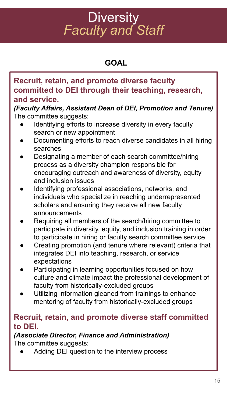## **Diversity** *Faculty and Staff*

### **GOAL**

### **Recruit, retain, and promote diverse faculty committed to DEI through their teaching, research, and service.**

*(Faculty Affairs, Assistant Dean of DEI, Promotion and Tenure)* The committee suggests:

- Identifying efforts to increase diversity in every faculty search or new appointment
- Documenting efforts to reach diverse candidates in all hiring searches
- Designating a member of each search committee/hiring process as a diversity champion responsible for encouraging outreach and awareness of diversity, equity and inclusion issues
- Identifying professional associations, networks, and individuals who specialize in reaching underrepresented scholars and ensuring they receive all new faculty announcements
- Requiring all members of the search/hiring committee to participate in diversity, equity, and inclusion training in order to participate in hiring or faculty search committee service
- Creating promotion (and tenure where relevant) criteria that integrates DEI into teaching, research, or service expectations
- Participating in learning opportunities focused on how culture and climate impact the professional development of faculty from historically-excluded groups
- Utilizing information gleaned from trainings to enhance mentoring of faculty from historically-excluded groups

#### **Recruit, retain, and promote diverse staff committed to DEI.**

#### *(Associate Director, Finance and Administration)* The committee suggests:

Adding DEI question to the interview process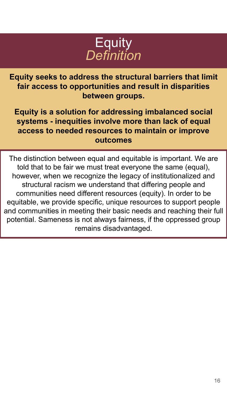

**Equity seeks to address the structural barriers that limit fair access to opportunities and result in disparities between groups.** 

**Equity is a solution for addressing imbalanced social systems - inequities involve more than lack of equal access to needed resources to maintain or improve outcomes**

The distinction between equal and equitable is important. We are told that to be fair we must treat everyone the same (equal), however, when we recognize the legacy of institutionalized and structural racism we understand that differing people and communities need different resources (equity). In order to be equitable, we provide specific, unique resources to support people and communities in meeting their basic needs and reaching their full potential. Sameness is not always fairness, if the oppressed group remains disadvantaged.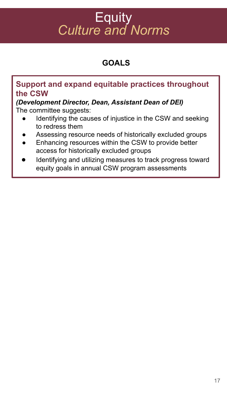## **Equity** *Culture and Norms*

### **GOALS**

### **Support and expand equitable practices throughout the CSW**

*(Development Director, Dean, Assistant Dean of DEI)* The committee suggests:

- Identifying the causes of injustice in the CSW and seeking to redress them
- Assessing resource needs of historically excluded groups
- Enhancing resources within the CSW to provide better access for historically excluded groups
- Identifying and utilizing measures to track progress toward equity goals in annual CSW program assessments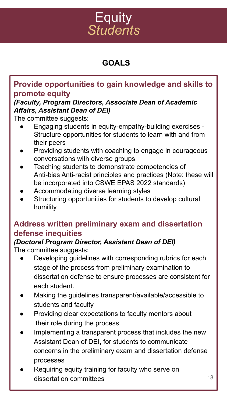## **Equity** *Students*

### **GOALS**

### **Provide opportunities to gain knowledge and skills to promote equity**

#### *(Faculty, Program Directors, Associate Dean of Academic Affairs, Assistant Dean of DEI)*

The committee suggests:

- Engaging students in equity-empathy-building exercises -Structure opportunities for students to learn with and from their peers
- Providing students with coaching to engage in courageous conversations with diverse groups
- Teaching students to demonstrate competencies of Anti-bias Anti-racist principles and practices (Note: these will be incorporated into CSWE EPAS 2022 standards)
- Accommodating diverse learning styles
- Structuring opportunities for students to develop cultural humility

### **Address written preliminary exam and dissertation defense inequities**

## *(Doctoral Program Director, Assistant Dean of DEI)*

The committee suggests:

- Developing guidelines with corresponding rubrics for each stage of the process from preliminary examination to dissertation defense to ensure processes are consistent for each student.
- Making the guidelines transparent/available/accessible to students and faculty
- Providing clear expectations to faculty mentors about their role during the process
- Implementing a transparent process that includes the new Assistant Dean of DEI, for students to communicate concerns in the preliminary exam and dissertation defense processes
- Requiring equity training for faculty who serve on dissertation committees and the state of the 18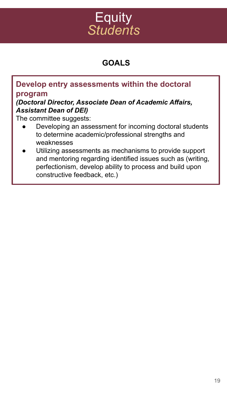## **Equity** *Students*

### **GOALS**

#### **Develop entry assessments within the doctoral program**

#### *(Doctoral Director, Associate Dean of Academic Affairs, Assistant Dean of DEI)*

The committee suggests:

- Developing an assessment for incoming doctoral students to determine academic/professional strengths and weaknesses
- Utilizing assessments as mechanisms to provide support and mentoring regarding identified issues such as (writing, perfectionism, develop ability to process and build upon constructive feedback, etc.)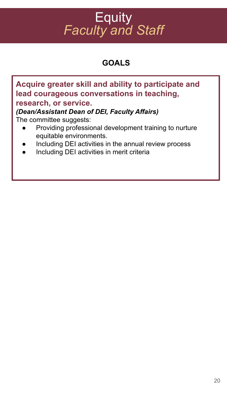## **Equity** *Faculty and Staff*

### **GOALS**

| Acquire greater skill and ability to participate and                              |
|-----------------------------------------------------------------------------------|
| lead courageous conversations in teaching,                                        |
| research, or service.                                                             |
| (Dean/Assistant Dean of DEI, Faculty Affairs)                                     |
| The committee suggests:                                                           |
| Providing professional development training to nurture<br>equitable environments. |
| Including DEI activities in the annual review process<br>$\bullet$                |
| Including DEI activities in merit criteria<br>$\bullet$                           |
|                                                                                   |
|                                                                                   |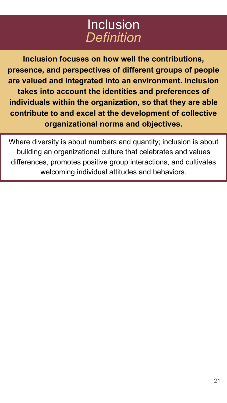## Inclusion *Definition*

**Inclusion focuses on how well the contributions, presence, and perspectives of different groups of people are valued and integrated into an environment. Inclusion takes into account the identities and preferences of individuals within the organization, so that they are able contribute to and excel at the development of collective organizational norms and objectives.**

Where diversity is about numbers and quantity; inclusion is about building an organizational culture that celebrates and values differences, promotes positive group interactions, and cultivates welcoming individual attitudes and behaviors.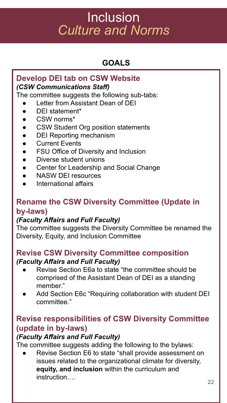### **GOALS**

#### **Develop DEI tab on CSW Website** *(CSW Communications Staff)*

The committee suggests the following sub-tabs:

- Letter from Assistant Dean of DEI
- DEI statement\*
- CSW norms\*
- CSW Student Org position statements
- DEI Reporting mechanism
- **Current Events**
- **FSU Office of Diversity and Inclusion**
- Diverse student unions
- Center for Leadership and Social Change
- NASW DEI resources
- International affairs

### **Rename the CSW Diversity Committee (Update in by-laws)**

#### *(Faculty Affairs and Full Faculty)*

The committee suggests the Diversity Committee be renamed the Diversity, Equity, and Inclusion Committee

#### **Revise CSW Diversity Committee composition** *(Faculty Affairs and Full Faculty)*

- Revise Section E6a to state "the committee should be comprised of the Assistant Dean of DEI as a standing member."
- Add Section E6c "Requiring collaboration with student DEI committee."

### **Revise responsibilities of CSW Diversity Committee (update in by-laws)**

#### *(Faculty Affairs and Full Faculty)*

The committee suggests adding the following to the bylaws:

Revise Section E6 to state "shall provide assessment on issues related to the organizational climate for diversity, **equity, and inclusion** within the curriculum and instruction….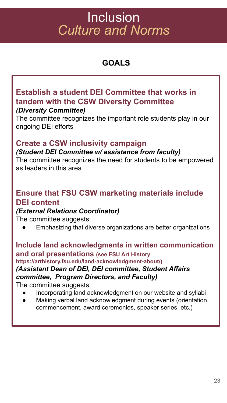### **GOALS**

### **Establish a student DEI Committee that works in tandem with the CSW Diversity Committee**

#### *(Diversity Committee)*

The committee recognizes the important role students play in our ongoing DEI efforts

### **Create a CSW inclusivity campaign**

#### *(Student DEI Committee w/ assistance from faculty)*

The committee recognizes the need for students to be empowered as leaders in this area

### **Ensure that FSU CSW marketing materials include DEI content**

#### *(External Relations Coordinator)*

The committee suggests:

Emphasizing that diverse organizations are better organizations

**Include land acknowledgments in written communication and oral presentations (see FSU Art History https://arthistory.fsu.edu/land-acknowledgment-about/)** *(Assistant Dean of DEI, DEI committee, Student Affairs committee, Program Directors, and Faculty)* The committee suggests: Incorporating land acknowledgment on our website and syllabi

- 
- Making verbal land acknowledgment during events (orientation, commencement, award ceremonies, speaker series, etc.)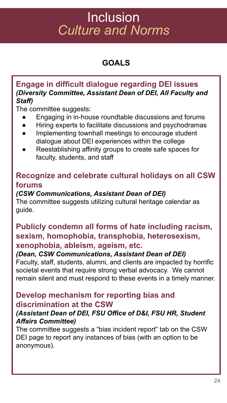### **GOALS**

#### **Engage in difficult dialogue regarding DEI issues** *(Diversity Committee, Assistant Dean of DEI, All Faculty and Staff)*

The committee suggests:

- Engaging in in-house roundtable discussions and forums
- Hiring experts to facilitate discussions and psychodramas
- Implementing townhall meetings to encourage student dialogue about DEI experiences within the college
- Reestablishing affinity groups to create safe spaces for faculty, students, and staff

### **Recognize and celebrate cultural holidays on all CSW forums**

#### *(CSW Communications, Assistant Dean of DEI)*

The committee suggests utilizing cultural heritage calendar as guide.

### **Publicly condemn all forms of hate including racism, sexism, homophobia, transphobia, heterosexism, xenophobia, ableism, ageism, etc.**

#### *(Dean, CSW Communications, Assistant Dean of DEI)*

Faculty, staff, students, alumni, and clients are impacted by horrific societal events that require strong verbal advocacy. We cannot remain silent and must respond to these events in a timely manner.

#### **Develop mechanism for reporting bias and discrimination at the CSW**

#### *(Assistant Dean of DEI, FSU Office of D&I, FSU HR, Student Affairs Committee)*

The committee suggests a "bias incident report" tab on the CSW DEI page to report any instances of bias (with an option to be anonymous).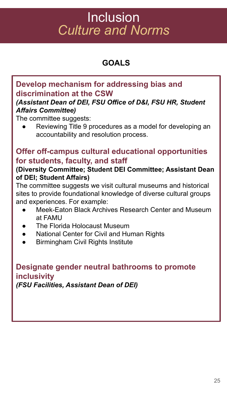### **GOALS**

### **Develop mechanism for addressing bias and discrimination at the CSW**

#### *(Assistant Dean of DEI, FSU Office of D&I, FSU HR, Student Affairs Committee)*

The committee suggests:

Reviewing Title 9 procedures as a model for developing an accountability and resolution process.

### **Offer off-campus cultural educational opportunities for students, faculty, and staff**

#### **(Diversity Committee; Student DEI Committee; Assistant Dean of DEI; Student Affairs)**

The committee suggests we visit cultural museums and historical sites to provide foundational knowledge of diverse cultural groups and experiences. For example:

- Meek-Eaton Black Archives Research Center and Museum at FAMU
- The Florida Holocaust Museum
- National Center for Civil and Human Rights
- **Birmingham Civil Rights Institute**

#### **Designate gender neutral bathrooms to promote inclusivity**  *(FSU Facilities, Assistant Dean of DEI)*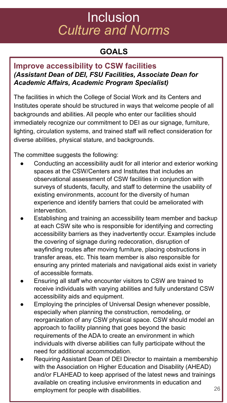### **GOALS**

#### **Improve accessibility to CSW facilities** *(Assistant Dean of DEI, FSU Facilities, Associate Dean for Academic Affairs, Academic Program Specialist)*

The facilities in which the College of Social Work and its Centers and Institutes operate should be structured in ways that welcome people of all backgrounds and abilities. All people who enter our facilities should immediately recognize our commitment to DEI as our signage, furniture, lighting, circulation systems, and trained staff will reflect consideration for diverse abilities, physical stature, and backgrounds.

The committee suggests the following:

- Conducting an accessibility audit for all interior and exterior working spaces at the CSW/Centers and Institutes that includes an observational assessment of CSW facilities in conjunction with surveys of students, faculty, and staff to determine the usability of existing environments, account for the diversity of human experience and identify barriers that could be ameliorated with intervention.
- Establishing and training an accessibility team member and backup at each CSW site who is responsible for identifying and correcting accessibility barriers as they inadvertently occur. Examples include the covering of signage during redecoration, disruption of wayfinding routes after moving furniture, placing obstructions in transfer areas, etc. This team member is also responsible for ensuring any printed materials and navigational aids exist in variety of accessible formats.
- Ensuring all staff who encounter visitors to CSW are trained to receive individuals with varying abilities and fully understand CSW accessibility aids and equipment.
- Employing the principles of Universal Design whenever possible, especially when planning the construction, remodeling, or reorganization of any CSW physical space. CSW should model an approach to facility planning that goes beyond the basic requirements of the ADA to create an environment in which individuals with diverse abilities can fully participate without the need for additional accommodation.
- Requiring Assistant Dean of DEI Director to maintain a membership with the Association on Higher Education and Disability (AHEAD) and/or FLAHEAD to keep apprised of the latest news and trainings available on creating inclusive environments in education and employment for people with disabilities. The matrix of  $26$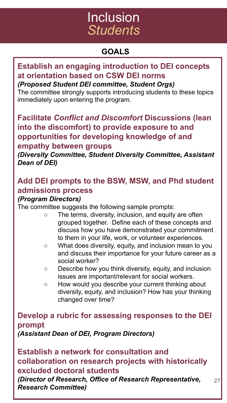## Inclusion *Students*

### **GOALS**

### **Establish an engaging introduction to DEI concepts at orientation based on CSW DEI norms**

*(Proposed Student DEI committee, Student Orgs)*

The committee strongly supports introducing students to these topics immediately upon entering the program.

**Facilitate** *Conflict and Discomfort* **Discussions (lean into the discomfort) to provide exposure to and opportunities for developing knowledge of and empathy between groups**

*(Diversity Committee, Student Diversity Committee, Assistant Dean of DEI)*

### **Add DEI prompts to the BSW, MSW, and Phd student admissions process**

#### *(Program Directors)*

The committee suggests the following sample prompts:

- The terms, diversity, inclusion, and equity are often grouped together. Define each of these concepts and discuss how you have demonstrated your commitment to them in your life, work, or volunteer experiences.
- What does diversity, equity, and inclusion mean to you and discuss their importance for your future career as a social worker?
- Describe how you think diversity, equity, and inclusion issues are important/relevant for social workers.
- How would you describe your current thinking about diversity, equity, and inclusion? How has your thinking changed over time?

27

### **Develop a rubric for assessing responses to the DEI prompt**

*(Assistant Dean of DEI, Program Directors)* 

**Establish a network for consultation and collaboration on research projects with historically excluded doctoral students**

*(Director of Research, Office of Research Representative, Research Committee)*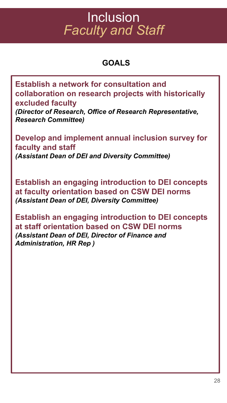## **Inclusion** *Faculty and Staff*

### **GOALS**

**Establish a network for consultation and collaboration on research projects with historically excluded faculty**

*(Director of Research, Office of Research Representative, Research Committee)*

**Develop and implement annual inclusion survey for faculty and staff**  *(Assistant Dean of DEI and Diversity Committee)*

**Establish an engaging introduction to DEI concepts at faculty orientation based on CSW DEI norms** *(Assistant Dean of DEI, Diversity Committee)*

**Establish an engaging introduction to DEI concepts at staff orientation based on CSW DEI norms** *(Assistant Dean of DEI, Director of Finance and Administration, HR Rep )*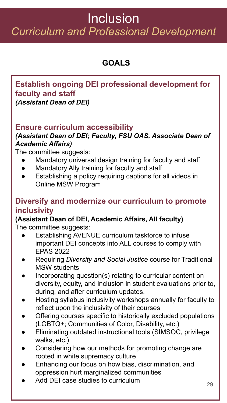## Inclusion *Curriculum and Professional Development*

### **GOALS**

#### **Establish ongoing DEI professional development for faculty and staff**  *(Assistant Dean of DEI)*

### **Ensure curriculum accessibility**

#### *(Assistant Dean of DEI; Faculty, FSU OAS, Associate Dean of Academic Affairs)*

The committee suggests:

- Mandatory universal design training for faculty and staff
- Mandatory Ally training for faculty and staff
- Establishing a policy requiring captions for all videos in Online MSW Program

### **Diversify and modernize our curriculum to promote inclusivity**

#### **(Assistant Dean of DEI, Academic Affairs, All faculty)** The committee suggests:

- **Establishing AVENUE curriculum taskforce to infuse** important DEI concepts into ALL courses to comply with EPAS 2022
- **●** Requiring *Diversity and Social Justice* course for Traditional MSW students
- **●** Incorporating question(s) relating to curricular content on diversity, equity, and inclusion in student evaluations prior to, during, and after curriculum updates.
- Hosting syllabus inclusivity workshops annually for faculty to reflect upon the inclusivity of their courses
- Offering courses specific to historically excluded populations (LGBTQ+; Communities of Color, Disability, etc.)
- Eliminating outdated instructional tools (SIMSOC, privilege walks, etc.)
- Considering how our methods for promoting change are rooted in white supremacy culture
- Enhancing our focus on how bias, discrimination, and oppression hurt marginalized communities
- Add DEI case studies to curriculum  $29$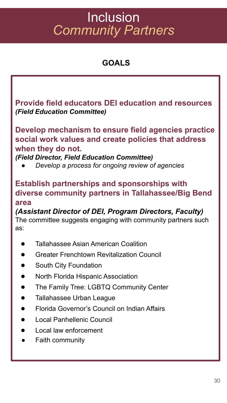## Inclusion *Community Partners*

### **GOALS**

**Provide field educators DEI education and resources**  *(Field Education Committee)*

**Develop mechanism to ensure field agencies practice social work values and create policies that address when they do not.** 

*(Field Director, Field Education Committee)*

*● Develop a process for ongoing review of agencies*

### **Establish partnerships and sponsorships with diverse community partners in Tallahassee/Big Bend area**

*(Assistant Director of DEI, Program Directors, Faculty)* The committee suggests engaging with community partners such as:

- **Tallahassee Asian American Coalition**
- **Greater Frenchtown Revitalization Council**
- **South City Foundation**
- **North Florida Hispanic Association**
- The Family Tree: LGBTQ Community Center
- **Tallahassee Urban League**
- **Florida Governor's Council on Indian Affairs**
- Local Panhellenic Council
- **Local law enforcement**
- **Faith community**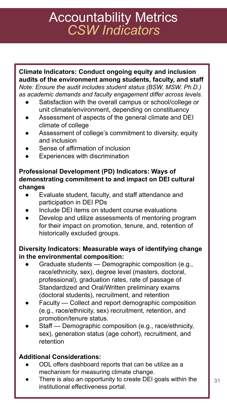## Accountability Metrics *CSW Indicators*

**Climate Indicators: Conduct ongoing equity and inclusion audits of the environment among students, faculty, and staff** *Note: Ensure the audit includes student status (BSW, MSW, Ph.D.) as academic demands and faculty engagement differ across levels.*

- Satisfaction with the overall campus or school/college or unit climate/environment, depending on constituency
- Assessment of aspects of the general climate and DEI climate of college
- Assessment of college's commitment to diversity, equity and inclusion
- Sense of affirmation of inclusion
- Experiences with discrimination

#### **Professional Development (PD) Indicators: Ways of demonstrating commitment to and impact on DEI cultural changes**

- Evaluate student, faculty, and staff attendance and participation in DEI PDs
- Include DEI items on student course evaluations
- Develop and utilize assessments of mentoring program for their impact on promotion, tenure, and, retention of historically excluded groups.

#### **Diversity Indicators: Measurable ways of identifying change in the environmental composition:**

- Graduate students Demographic composition (e.g., race/ethnicity, sex), degree level (masters, doctoral, professional), graduation rates, rate of passage of Standardized and Oral/Written preliminary exams (doctoral students), recruitment, and retention
- Faculty Collect and report demographic composition (e.g., race/ethnicity, sex) recruitment, retention, and promotion/tenure status.
- Staff Demographic composition (e.g., race/ethnicity, sex), generation status (age cohort), recruitment, and retention

#### **Additional Considerations:**

- ODL offers dashboard reports that can be utilize as a mechanism for measuring climate change.
- There is also an opportunity to create DEI goals within the institutional effectiveness portal.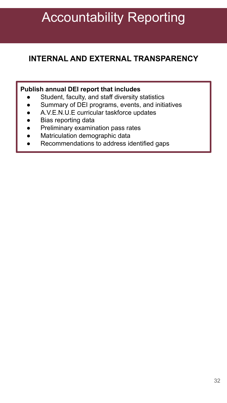## Accountability Reporting

### **INTERNAL AND EXTERNAL TRANSPARENCY**

#### **Publish annual DEI report that includes**

- Student, faculty, and staff diversity statistics
- Summary of DEI programs, events, and initiatives
- A.V.E.N.U.E curricular taskforce updates
- Bias reporting data
- Preliminary examination pass rates
- Matriculation demographic data
- Recommendations to address identified gaps